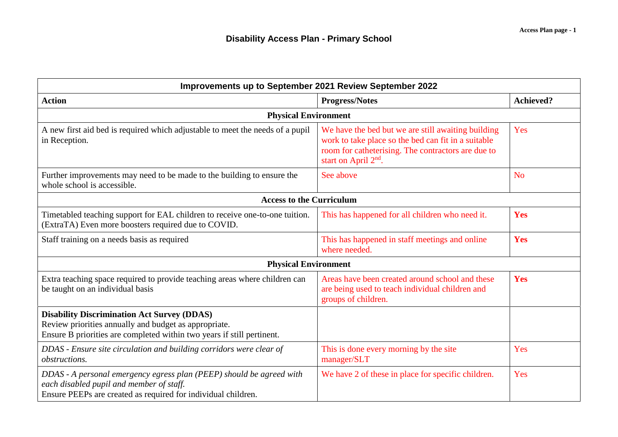| Improvements up to September 2021 Review September 2022                                                                                                                               |                                                                                                                                                                                                     |                  |  |  |
|---------------------------------------------------------------------------------------------------------------------------------------------------------------------------------------|-----------------------------------------------------------------------------------------------------------------------------------------------------------------------------------------------------|------------------|--|--|
| <b>Action</b>                                                                                                                                                                         | <b>Progress/Notes</b>                                                                                                                                                                               | <b>Achieved?</b> |  |  |
| <b>Physical Environment</b>                                                                                                                                                           |                                                                                                                                                                                                     |                  |  |  |
| A new first aid bed is required which adjustable to meet the needs of a pupil<br>in Reception.                                                                                        | We have the bed but we are still awaiting building<br>work to take place so the bed can fit in a suitable<br>room for catheterising. The contractors are due to<br>start on April 2 <sup>nd</sup> . | Yes              |  |  |
| Further improvements may need to be made to the building to ensure the<br>whole school is accessible.                                                                                 | See above                                                                                                                                                                                           | N <sub>o</sub>   |  |  |
| <b>Access to the Curriculum</b>                                                                                                                                                       |                                                                                                                                                                                                     |                  |  |  |
| Timetabled teaching support for EAL children to receive one-to-one tuition.<br>(ExtraTA) Even more boosters required due to COVID.                                                    | This has happened for all children who need it.                                                                                                                                                     | Yes              |  |  |
| Staff training on a needs basis as required                                                                                                                                           | This has happened in staff meetings and online<br>where needed.                                                                                                                                     | Yes              |  |  |
| <b>Physical Environment</b>                                                                                                                                                           |                                                                                                                                                                                                     |                  |  |  |
| Extra teaching space required to provide teaching areas where children can<br>be taught on an individual basis                                                                        | Areas have been created around school and these<br>are being used to teach individual children and<br>groups of children.                                                                           | Yes              |  |  |
| <b>Disability Discrimination Act Survey (DDAS)</b><br>Review priorities annually and budget as appropriate.<br>Ensure B priorities are completed within two years if still pertinent. |                                                                                                                                                                                                     |                  |  |  |
| DDAS - Ensure site circulation and building corridors were clear of<br><i>obstructions.</i>                                                                                           | This is done every morning by the site<br>manager/SLT                                                                                                                                               | Yes              |  |  |
| DDAS - A personal emergency egress plan (PEEP) should be agreed with<br>each disabled pupil and member of staff.<br>Ensure PEEPs are created as required for individual children.     | We have 2 of these in place for specific children.                                                                                                                                                  | Yes              |  |  |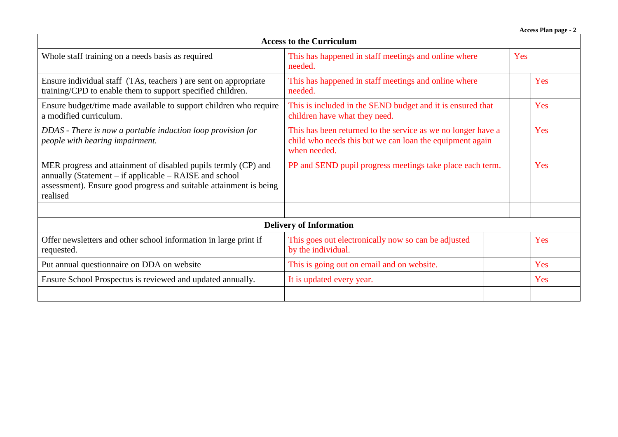**Access Plan page - 2**

| <b>Access to the Curriculum</b>                                                                                                                                                                                |                                                                                                                                          |     |  |  |
|----------------------------------------------------------------------------------------------------------------------------------------------------------------------------------------------------------------|------------------------------------------------------------------------------------------------------------------------------------------|-----|--|--|
| Whole staff training on a needs basis as required                                                                                                                                                              | This has happened in staff meetings and online where<br>needed.                                                                          | Yes |  |  |
| Ensure individual staff (TAs, teachers) are sent on appropriate<br>training/CPD to enable them to support specified children.                                                                                  | This has happened in staff meetings and online where<br>needed.                                                                          | Yes |  |  |
| Ensure budget/time made available to support children who require<br>a modified curriculum.                                                                                                                    | This is included in the SEND budget and it is ensured that<br>children have what they need.                                              | Yes |  |  |
| DDAS - There is now a portable induction loop provision for<br>people with hearing impairment.                                                                                                                 | This has been returned to the service as we no longer have a<br>child who needs this but we can loan the equipment again<br>when needed. | Yes |  |  |
| MER progress and attainment of disabled pupils termly (CP) and<br>annually (Statement $-$ if applicable $-$ RAISE and school<br>assessment). Ensure good progress and suitable attainment is being<br>realised | PP and SEND pupil progress meetings take place each term.                                                                                | Yes |  |  |
|                                                                                                                                                                                                                |                                                                                                                                          |     |  |  |
| <b>Delivery of Information</b>                                                                                                                                                                                 |                                                                                                                                          |     |  |  |
| Offer newsletters and other school information in large print if<br>requested.                                                                                                                                 | This goes out electronically now so can be adjusted<br>by the individual.                                                                | Yes |  |  |
| Put annual questionnaire on DDA on website                                                                                                                                                                     | This is going out on email and on website.                                                                                               | Yes |  |  |
| Ensure School Prospectus is reviewed and updated annually.                                                                                                                                                     | It is updated every year.                                                                                                                | Yes |  |  |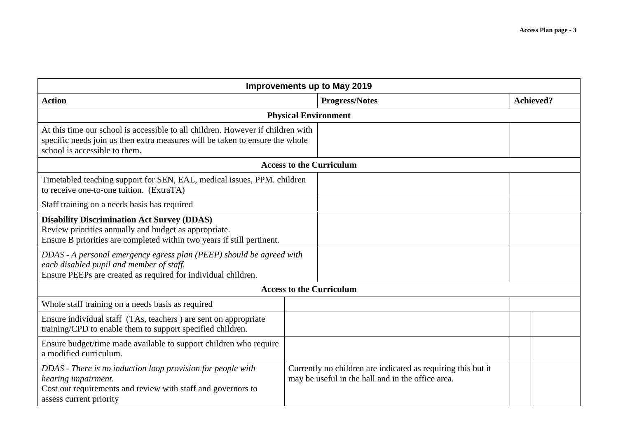| Improvements up to May 2019                                                                                                                                                                      |                                                                                                                   |                  |  |  |  |
|--------------------------------------------------------------------------------------------------------------------------------------------------------------------------------------------------|-------------------------------------------------------------------------------------------------------------------|------------------|--|--|--|
| <b>Action</b>                                                                                                                                                                                    | <b>Progress/Notes</b>                                                                                             | <b>Achieved?</b> |  |  |  |
| <b>Physical Environment</b>                                                                                                                                                                      |                                                                                                                   |                  |  |  |  |
| At this time our school is accessible to all children. However if children with<br>specific needs join us then extra measures will be taken to ensure the whole<br>school is accessible to them. |                                                                                                                   |                  |  |  |  |
| <b>Access to the Curriculum</b>                                                                                                                                                                  |                                                                                                                   |                  |  |  |  |
| Timetabled teaching support for SEN, EAL, medical issues, PPM. children<br>to receive one-to-one tuition. (ExtraTA)                                                                              |                                                                                                                   |                  |  |  |  |
| Staff training on a needs basis has required                                                                                                                                                     |                                                                                                                   |                  |  |  |  |
| <b>Disability Discrimination Act Survey (DDAS)</b><br>Review priorities annually and budget as appropriate.<br>Ensure B priorities are completed within two years if still pertinent.            |                                                                                                                   |                  |  |  |  |
| DDAS - A personal emergency egress plan (PEEP) should be agreed with<br>each disabled pupil and member of staff.<br>Ensure PEEPs are created as required for individual children.                |                                                                                                                   |                  |  |  |  |
| <b>Access to the Curriculum</b>                                                                                                                                                                  |                                                                                                                   |                  |  |  |  |
| Whole staff training on a needs basis as required                                                                                                                                                |                                                                                                                   |                  |  |  |  |
| Ensure individual staff (TAs, teachers) are sent on appropriate<br>training/CPD to enable them to support specified children.                                                                    |                                                                                                                   |                  |  |  |  |
| Ensure budget/time made available to support children who require<br>a modified curriculum.                                                                                                      |                                                                                                                   |                  |  |  |  |
| DDAS - There is no induction loop provision for people with<br>hearing impairment.<br>Cost out requirements and review with staff and governors to<br>assess current priority                    | Currently no children are indicated as requiring this but it<br>may be useful in the hall and in the office area. |                  |  |  |  |